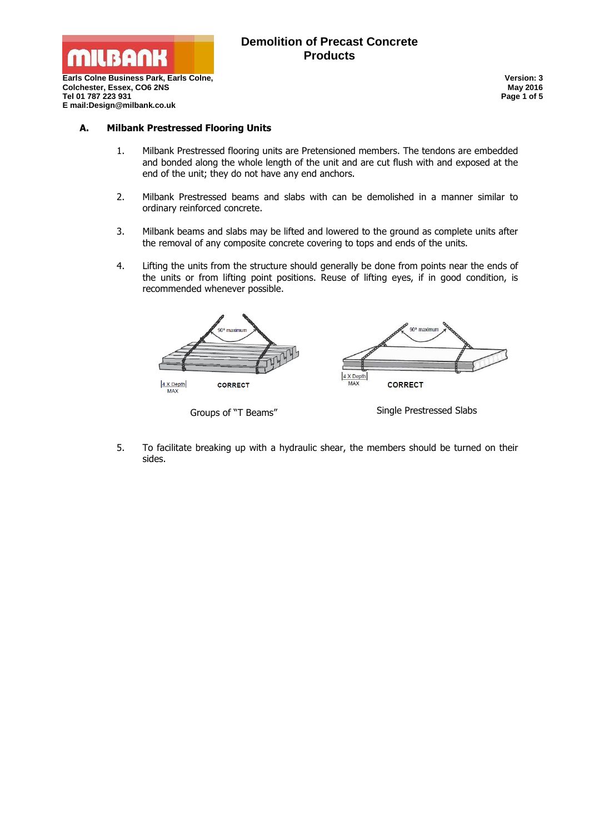

# **Demolition of Precast Concrete Products**

**Earls Colne Business Park, Earls Colne, Colchester, Essex, CO6 2NS Tel 01 787 223 931 E mail:Design@milbank.co.uk**

**Version: 3 May 2016 Page 1 of 5**

#### **A. Milbank Prestressed Flooring Units**

- 1. Milbank Prestressed flooring units are Pretensioned members. The tendons are embedded and bonded along the whole length of the unit and are cut flush with and exposed at the end of the unit; they do not have any end anchors.
- 2. Milbank Prestressed beams and slabs with can be demolished in a manner similar to ordinary reinforced concrete.
- 3. Milbank beams and slabs may be lifted and lowered to the ground as complete units after the removal of any composite concrete covering to tops and ends of the units.
- 4. Lifting the units from the structure should generally be done from points near the ends of the units or from lifting point positions. Reuse of lifting eyes, if in good condition, is recommended whenever possible.



5. To facilitate breaking up with a hydraulic shear, the members should be turned on their sides.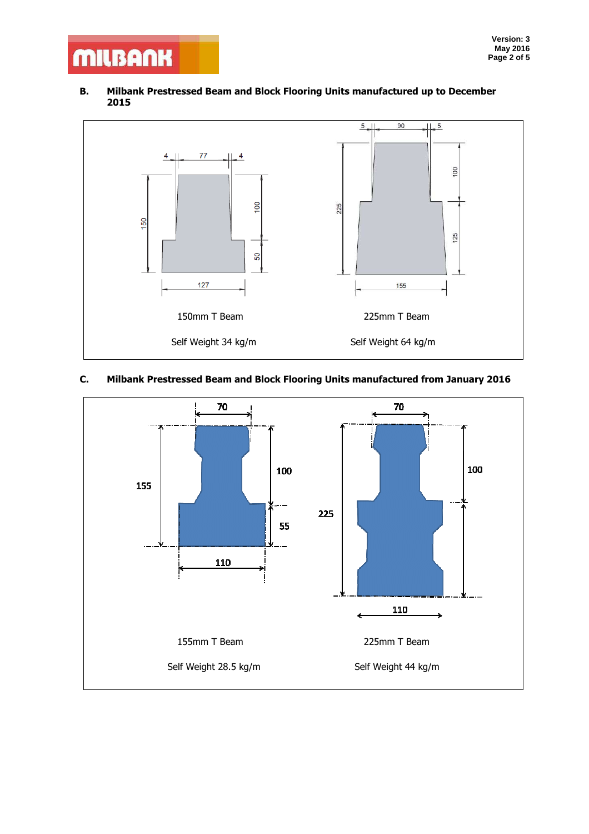# **MILBANK**

#### **B. Milbank Prestressed Beam and Block Flooring Units manufactured up to December 2015**



# **C. Milbank Prestressed Beam and Block Flooring Units manufactured from January 2016**

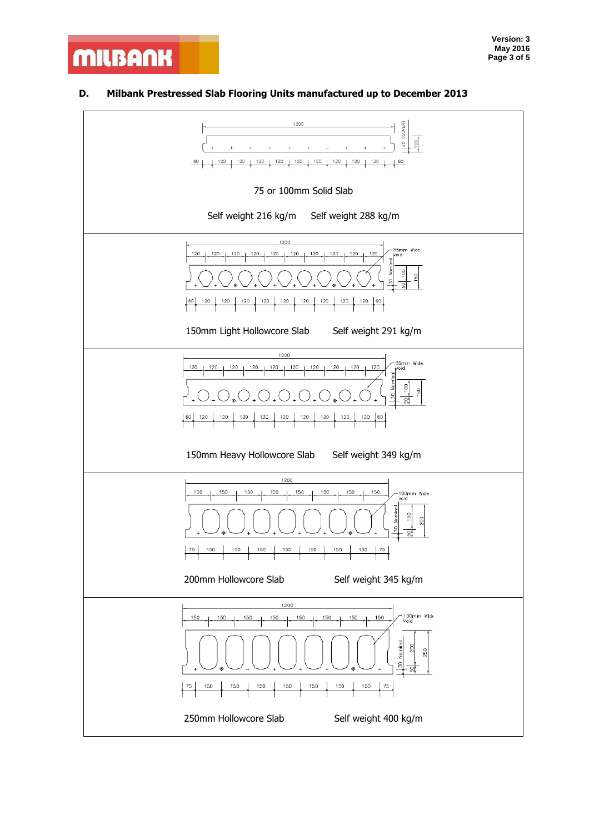# **D. Milbank Prestressed Slab Flooring Units manufactured up to December 2013**

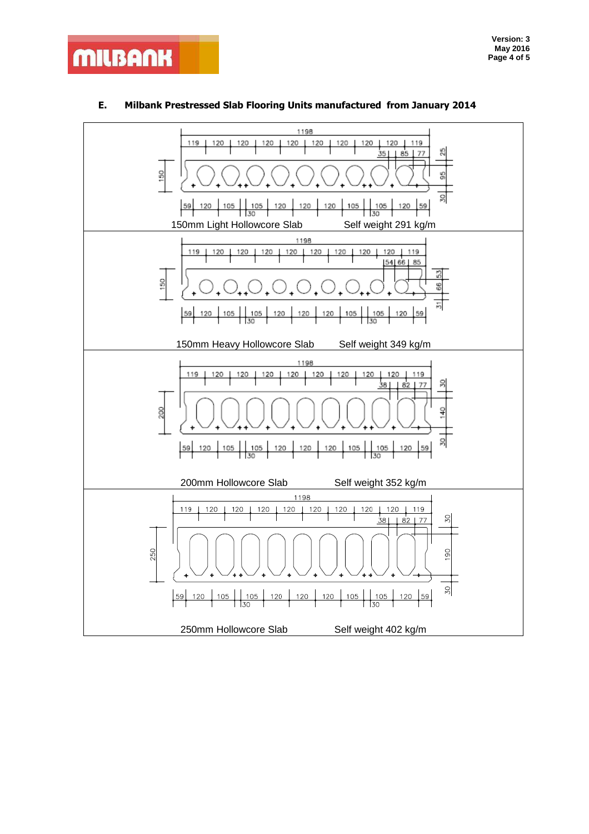

## **E. Milbank Prestressed Slab Flooring Units manufactured from January 2014**

**MILBANK**